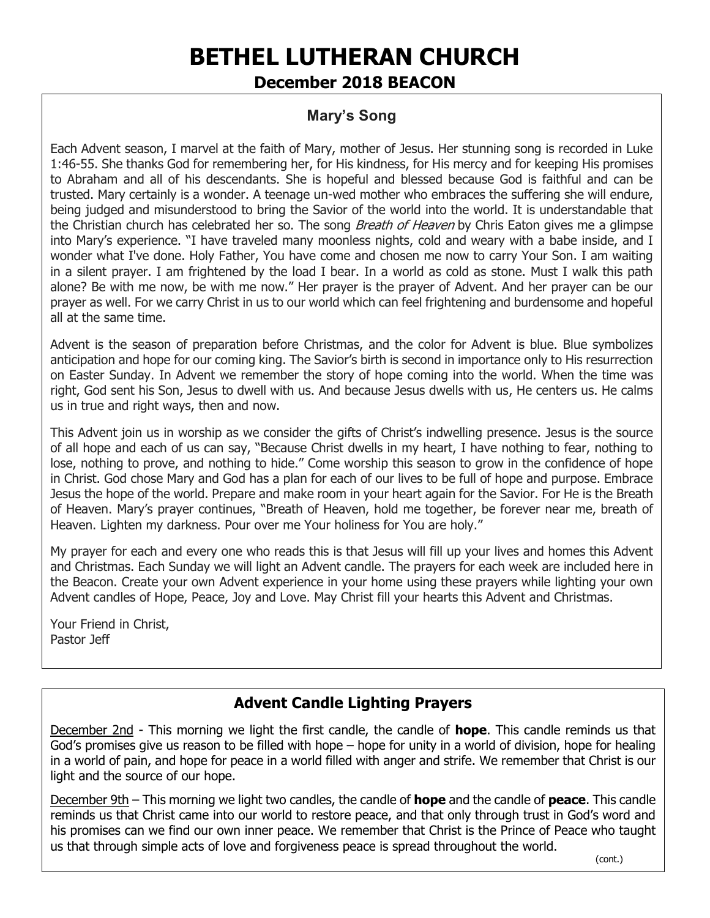# **BETHEL LUTHERAN CHURCH December 2018 BEACON**

## **Mary's Song**

Each Advent season, I marvel at the faith of Mary, mother of Jesus. Her stunning song is recorded in Luke 1:46-55. She thanks God for remembering her, for His kindness, for His mercy and for keeping His promises to Abraham and all of his descendants. She is hopeful and blessed because God is faithful and can be trusted. Mary certainly is a wonder. A teenage un-wed mother who embraces the suffering she will endure, being judged and misunderstood to bring the Savior of the world into the world. It is understandable that the Christian church has celebrated her so. The song *Breath of Heaven* by Chris Eaton gives me a glimpse into Mary's experience. "I have traveled many moonless nights, cold and weary with a babe inside, and I wonder what I've done. Holy Father, You have come and chosen me now to carry Your Son. I am waiting in a silent prayer. I am frightened by the load I bear. In a world as cold as stone. Must I walk this path alone? Be with me now, be with me now." Her prayer is the prayer of Advent. And her prayer can be our prayer as well. For we carry Christ in us to our world which can feel frightening and burdensome and hopeful all at the same time.

Advent is the season of preparation before Christmas, and the color for Advent is blue. Blue symbolizes anticipation and hope for our coming king. The Savior's birth is second in importance only to His resurrection on Easter Sunday. In Advent we remember the story of hope coming into the world. When the time was right, God sent his Son, Jesus to dwell with us. And because Jesus dwells with us, He centers us. He calms us in true and right ways, then and now.

This Advent join us in worship as we consider the gifts of Christ's indwelling presence. Jesus is the source of all hope and each of us can say, "Because Christ dwells in my heart, I have nothing to fear, nothing to lose, nothing to prove, and nothing to hide." Come worship this season to grow in the confidence of hope in Christ. God chose Mary and God has a plan for each of our lives to be full of hope and purpose. Embrace Jesus the hope of the world. Prepare and make room in your heart again for the Savior. For He is the Breath of Heaven. Mary's prayer continues, "Breath of Heaven, hold me together, be forever near me, breath of Heaven. Lighten my darkness. Pour over me Your holiness for You are holy."

My prayer for each and every one who reads this is that Jesus will fill up your lives and homes this Advent and Christmas. Each Sunday we will light an Advent candle. The prayers for each week are included here in the Beacon. Create your own Advent experience in your home using these prayers while lighting your own Advent candles of Hope, Peace, Joy and Love. May Christ fill your hearts this Advent and Christmas.

Your Friend in Christ, Pastor Jeff

# **Advent Candle Lighting Prayers**

December 2nd - This morning we light the first candle, the candle of **hope**. This candle reminds us that God's promises give us reason to be filled with hope – hope for unity in a world of division, hope for healing in a world of pain, and hope for peace in a world filled with anger and strife. We remember that Christ is our light and the source of our hope.

December 9th – This morning we light two candles, the candle of **hope** and the candle of **peace**. This candle reminds us that Christ came into our world to restore peace, and that only through trust in God's word and his promises can we find our own inner peace. We remember that Christ is the Prince of Peace who taught us that through simple acts of love and forgiveness peace is spread throughout the world.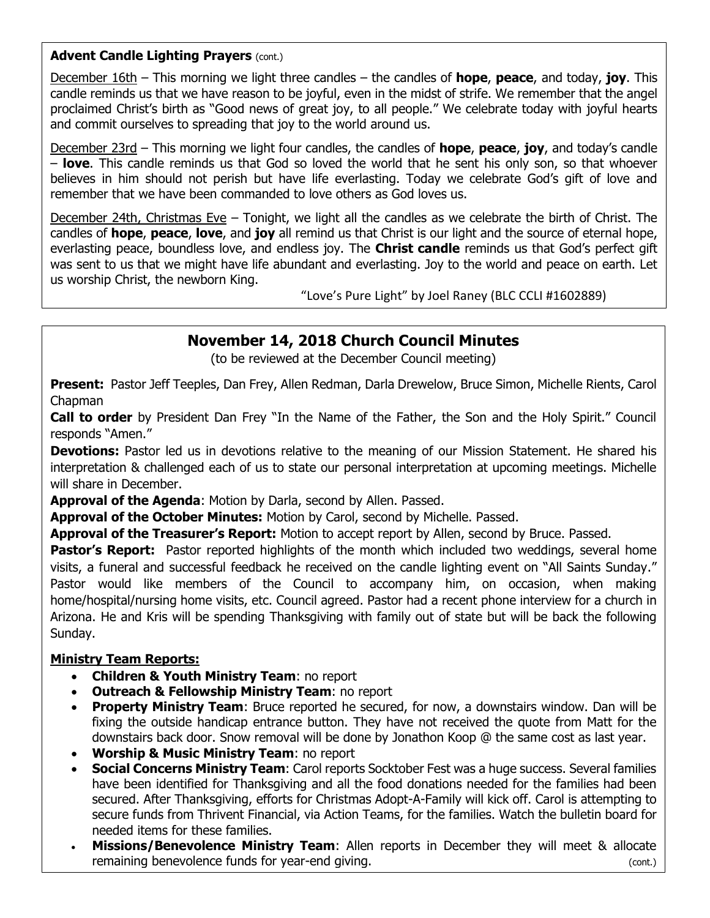#### **Advent Candle Lighting Prayers** (cont.)

December 16th – This morning we light three candles – the candles of **hope**, **peace**, and today, **joy**. This candle reminds us that we have reason to be joyful, even in the midst of strife. We remember that the angel proclaimed Christ's birth as "Good news of great joy, to all people." We celebrate today with joyful hearts and commit ourselves to spreading that joy to the world around us.

December 23rd – This morning we light four candles, the candles of **hope**, **peace**, **joy**, and today's candle – **love**. This candle reminds us that God so loved the world that he sent his only son, so that whoever believes in him should not perish but have life everlasting. Today we celebrate God's gift of love and remember that we have been commanded to love others as God loves us.

December 24th, Christmas Eve – Tonight, we light all the candles as we celebrate the birth of Christ. The candles of **hope**, **peace**, **love**, and **joy** all remind us that Christ is our light and the source of eternal hope, everlasting peace, boundless love, and endless joy. The **Christ candle** reminds us that God's perfect gift was sent to us that we might have life abundant and everlasting. Joy to the world and peace on earth. Let us worship Christ, the newborn King.

"Love's Pure Light" by Joel Raney (BLC CCLI #1602889)

## **November 14, 2018 Church Council Minutes**

(to be reviewed at the December Council meeting)

**Present:** Pastor Jeff Teeples, Dan Frey, Allen Redman, Darla Drewelow, Bruce Simon, Michelle Rients, Carol Chapman

**Call to order** by President Dan Frey "In the Name of the Father, the Son and the Holy Spirit." Council responds "Amen."

**Devotions:** Pastor led us in devotions relative to the meaning of our Mission Statement. He shared his interpretation & challenged each of us to state our personal interpretation at upcoming meetings. Michelle will share in December.

**Approval of the Agenda**: Motion by Darla, second by Allen. Passed.

**Approval of the October Minutes:** Motion by Carol, second by Michelle. Passed.

**Approval of the Treasurer's Report:** Motion to accept report by Allen, second by Bruce. Passed.

**Pastor's Report:** Pastor reported highlights of the month which included two weddings, several home visits, a funeral and successful feedback he received on the candle lighting event on "All Saints Sunday." Pastor would like members of the Council to accompany him, on occasion, when making home/hospital/nursing home visits, etc. Council agreed. Pastor had a recent phone interview for a church in Arizona. He and Kris will be spending Thanksgiving with family out of state but will be back the following Sunday.

#### **Ministry Team Reports:**

- **Children & Youth Ministry Team**: no report
- **Outreach & Fellowship Ministry Team**: no report
- **Property Ministry Team**: Bruce reported he secured, for now, a downstairs window. Dan will be fixing the outside handicap entrance button. They have not received the quote from Matt for the downstairs back door. Snow removal will be done by Jonathon Koop @ the same cost as last year.
- **Worship & Music Ministry Team**: no report
- **Social Concerns Ministry Team**: Carol reports Socktober Fest was a huge success. Several families have been identified for Thanksgiving and all the food donations needed for the families had been secured. After Thanksgiving, efforts for Christmas Adopt-A-Family will kick off. Carol is attempting to secure funds from Thrivent Financial, via Action Teams, for the families. Watch the bulletin board for needed items for these families.
- **Missions/Benevolence Ministry Team**: Allen reports in December they will meet & allocate remaining benevolence funds for year-end giving.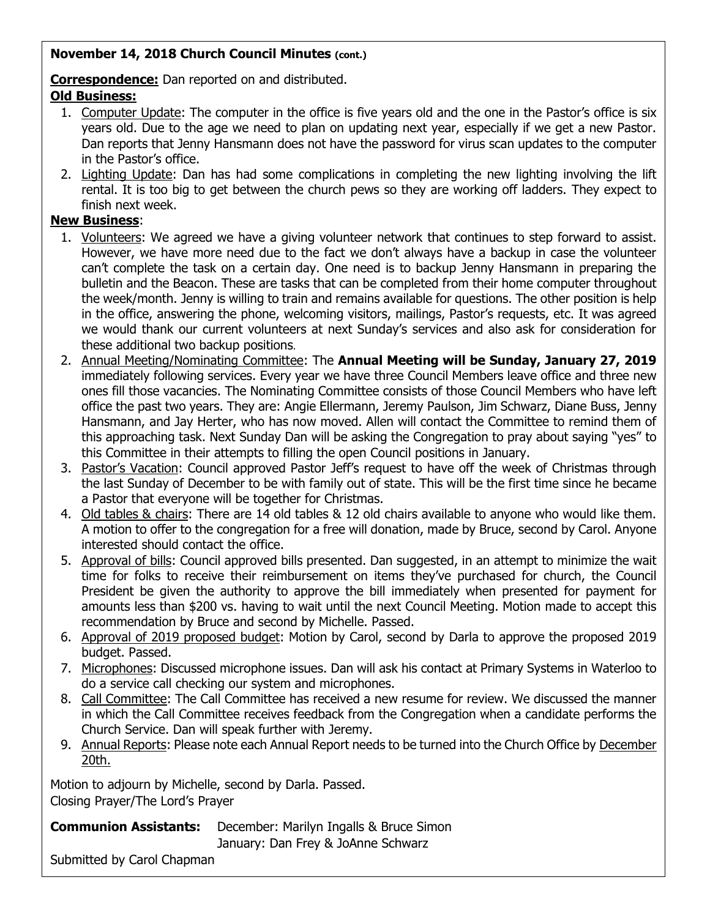#### **November 14, 2018 Church Council Minutes (cont.)**

**Correspondence:** Dan reported on and distributed.

#### **Old Business:**

- 1. Computer Update: The computer in the office is five years old and the one in the Pastor's office is six years old. Due to the age we need to plan on updating next year, especially if we get a new Pastor. Dan reports that Jenny Hansmann does not have the password for virus scan updates to the computer in the Pastor's office.
- 2. Lighting Update: Dan has had some complications in completing the new lighting involving the lift rental. It is too big to get between the church pews so they are working off ladders. They expect to finish next week.

#### **New Business**:

- 1. Volunteers: We agreed we have a giving volunteer network that continues to step forward to assist. However, we have more need due to the fact we don't always have a backup in case the volunteer can't complete the task on a certain day. One need is to backup Jenny Hansmann in preparing the bulletin and the Beacon. These are tasks that can be completed from their home computer throughout the week/month. Jenny is willing to train and remains available for questions. The other position is help in the office, answering the phone, welcoming visitors, mailings, Pastor's requests, etc. It was agreed we would thank our current volunteers at next Sunday's services and also ask for consideration for these additional two backup positions.
- 2. Annual Meeting/Nominating Committee: The **Annual Meeting will be Sunday, January 27, 2019** immediately following services. Every year we have three Council Members leave office and three new ones fill those vacancies. The Nominating Committee consists of those Council Members who have left office the past two years. They are: Angie Ellermann, Jeremy Paulson, Jim Schwarz, Diane Buss, Jenny Hansmann, and Jay Herter, who has now moved. Allen will contact the Committee to remind them of this approaching task. Next Sunday Dan will be asking the Congregation to pray about saying "yes" to this Committee in their attempts to filling the open Council positions in January.
- 3. Pastor's Vacation: Council approved Pastor Jeff's request to have off the week of Christmas through the last Sunday of December to be with family out of state. This will be the first time since he became a Pastor that everyone will be together for Christmas.
- 4. Old tables & chairs: There are 14 old tables & 12 old chairs available to anyone who would like them. A motion to offer to the congregation for a free will donation, made by Bruce, second by Carol. Anyone interested should contact the office.
- 5. Approval of bills: Council approved bills presented. Dan suggested, in an attempt to minimize the wait time for folks to receive their reimbursement on items they've purchased for church, the Council President be given the authority to approve the bill immediately when presented for payment for amounts less than \$200 vs. having to wait until the next Council Meeting. Motion made to accept this recommendation by Bruce and second by Michelle. Passed.
- 6. Approval of 2019 proposed budget: Motion by Carol, second by Darla to approve the proposed 2019 budget. Passed.
- 7. Microphones: Discussed microphone issues. Dan will ask his contact at Primary Systems in Waterloo to do a service call checking our system and microphones.
- 8. Call Committee: The Call Committee has received a new resume for review. We discussed the manner in which the Call Committee receives feedback from the Congregation when a candidate performs the Church Service. Dan will speak further with Jeremy.
- 9. Annual Reports: Please note each Annual Report needs to be turned into the Church Office by December 20th.

Motion to adjourn by Michelle, second by Darla. Passed. Closing Prayer/The Lord's Prayer

**Communion Assistants:** December: Marilyn Ingalls & Bruce Simon

January: Dan Frey & JoAnne Schwarz

Submitted by Carol Chapman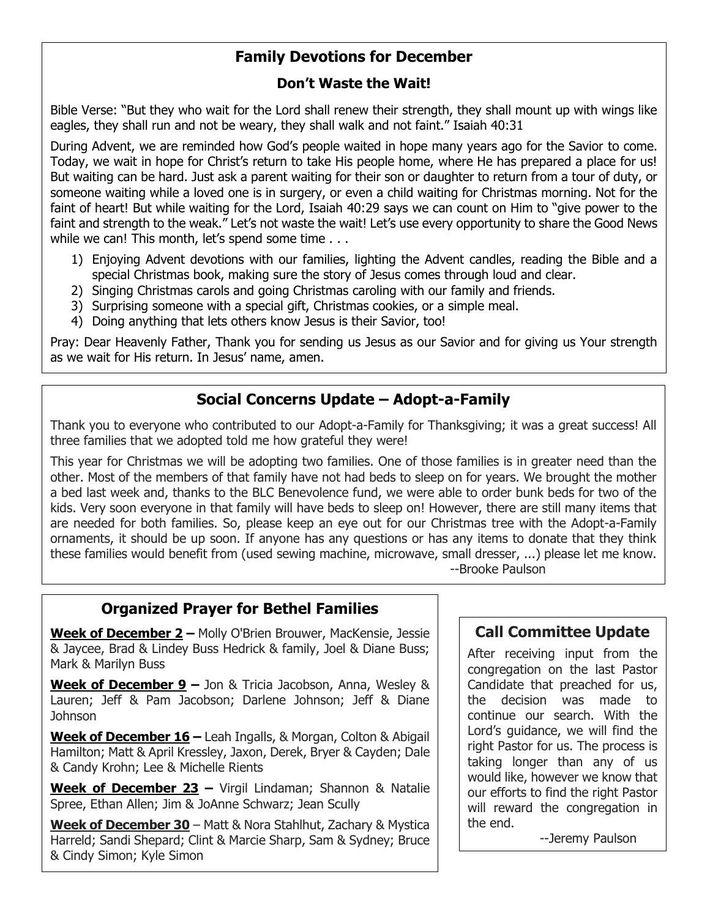## **Family Devotions for December**

#### **Don't Waste the Wait!**

Bible Verse: "But they who wait for the Lord shall renew their strength, they shall mount up with wings like eagles, they shall run and not be weary, they shall walk and not faint." Isaiah 40:31

During Advent, we are reminded how God's people waited in hope many years ago for the Savior to come. Today, we wait in hope for Christ's return to take His people home, where He has prepared a place for us! But waiting can be hard. Just ask a parent waiting for their son or daughter to return from a tour of duty, or someone waiting while a loved one is in surgery, or even a child waiting for Christmas morning. Not for the faint of heart! But while waiting for the Lord, Isaiah 40:29 says we can count on Him to "give power to the faint and strength to the weak." Let's not waste the wait! Let's use every opportunity to share the Good News while we can! This month, let's spend some time . . .

- 1) Enjoying Advent devotions with our families, lighting the Advent candles, reading the Bible and a special Christmas book, making sure the story of Jesus comes through loud and clear.
- 2) Singing Christmas carols and going Christmas caroling with our family and friends.
- 3) Surprising someone with a special gift, Christmas cookies, or a simple meal.
- 4) Doing anything that lets others know Jesus is their Savior, too!

Pray: Dear Heavenly Father, Thank you for sending us Jesus as our Savior and for giving us Your strength as we wait for His return. In Jesus' name, amen.

# **Social Concerns Update – Adopt-a-Family**

Thank you to everyone who contributed to our Adopt-a-Family for Thanksgiving; it was a great success! All three families that we adopted told me how grateful they were!

This year for Christmas we will be adopting two families. One of those families is in greater need than the other. Most of the members of that family have not had beds to sleep on for years. We brought the mother a bed last week and, thanks to the BLC Benevolence fund, we were able to order bunk beds for two of the kids. Very soon everyone in that family will have beds to sleep on! However, there are still many items that are needed for both families. So, please keep an eye out for our Christmas tree with the Adopt-a-Family ornaments, it should be up soon. If anyone has any questions or has any items to donate that they think these families would benefit from (used sewing machine, microwave, small dresser, ...) please let me know. --Brooke Paulson

## **Organized Prayer for Bethel Families**

**Week of December 2 –** Molly O'Brien Brouwer, MacKensie, Jessie & Jaycee, Brad & Lindey Buss Hedrick & family, Joel & Diane Buss; Mark & Marilyn Buss

**Week of December 9 –** Jon & Tricia Jacobson, Anna, Wesley & Lauren; Jeff & Pam Jacobson; Darlene Johnson; Jeff & Diane Johnson

**Week of December 16 –** Leah Ingalls, & Morgan, Colton & Abigail Hamilton; Matt & April Kressley, Jaxon, Derek, Bryer & Cayden; Dale & Candy Krohn; Lee & Michelle Rients

**Week of December 23 –** Virgil Lindaman; Shannon & Natalie Spree, Ethan Allen; Jim & JoAnne Schwarz; Jean Scully

**Week of December 30** – Matt & Nora Stahlhut, Zachary & Mystica Harreld; Sandi Shepard; Clint & Marcie Sharp, Sam & Sydney; Bruce & Cindy Simon; Kyle Simon

## **Call Committee Update**

After receiving input from the congregation on the last Pastor Candidate that preached for us, the decision was made to continue our search. With the Lord's guidance, we will find the right Pastor for us. The process is taking longer than any of us would like, however we know that our efforts to find the right Pastor will reward the congregation in the end.

--Jeremy Paulson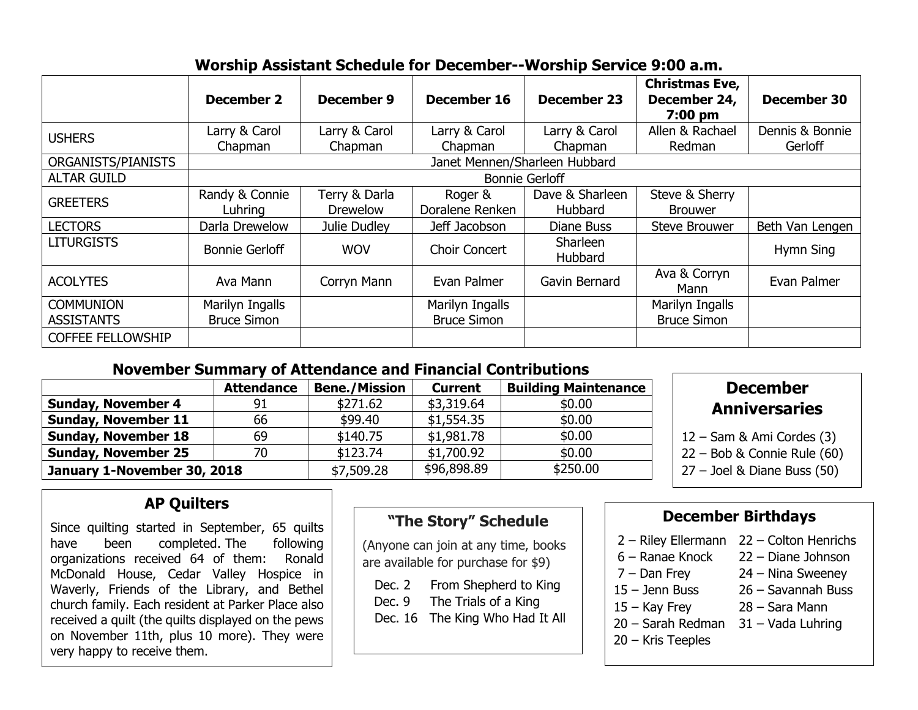# **Worship Assistant Schedule for December--Worship Service 9:00 a.m.**

|                          | <b>December 2</b>             | <b>December 9</b> | December 16        | <b>December 23</b>  | <b>Christmas Eve,</b><br>December 24,<br>7:00 pm | <b>December 30</b> |  |  |
|--------------------------|-------------------------------|-------------------|--------------------|---------------------|--------------------------------------------------|--------------------|--|--|
| <b>USHERS</b>            | Larry & Carol                 | Larry & Carol     | Larry & Carol      | Larry & Carol       | Allen & Rachael                                  | Dennis & Bonnie    |  |  |
|                          | Chapman                       | Chapman           | Chapman            | Chapman             | Redman                                           | Gerloff            |  |  |
| ORGANISTS/PIANISTS       | Janet Mennen/Sharleen Hubbard |                   |                    |                     |                                                  |                    |  |  |
| <b>ALTAR GUILD</b>       | <b>Bonnie Gerloff</b>         |                   |                    |                     |                                                  |                    |  |  |
| <b>GREETERS</b>          | Randy & Connie                | Terry & Darla     | Roger &            | Dave & Sharleen     | Steve & Sherry                                   |                    |  |  |
|                          | Luhring                       | <b>Drewelow</b>   | Doralene Renken    | Hubbard             | <b>Brouwer</b>                                   |                    |  |  |
| <b>LECTORS</b>           | Darla Drewelow                | Julie Dudley      | Jeff Jacobson      | Diane Buss          | <b>Steve Brouwer</b>                             | Beth Van Lengen    |  |  |
| <b>LITURGISTS</b>        | <b>Bonnie Gerloff</b>         | <b>WOV</b>        | Choir Concert      | Sharleen<br>Hubbard |                                                  | Hymn Sing          |  |  |
| <b>ACOLYTES</b>          | Ava Mann                      | Corryn Mann       | Evan Palmer        | Gavin Bernard       | Ava & Corryn<br>Mann                             | Evan Palmer        |  |  |
| <b>COMMUNION</b>         | Marilyn Ingalls               |                   | Marilyn Ingalls    |                     | Marilyn Ingalls                                  |                    |  |  |
| <b>ASSISTANTS</b>        | <b>Bruce Simon</b>            |                   | <b>Bruce Simon</b> |                     | <b>Bruce Simon</b>                               |                    |  |  |
| <b>COFFEE FELLOWSHIP</b> |                               |                   |                    |                     |                                                  |                    |  |  |

## **November Summary of Attendance and Financial Contributions**

|                             | <b>Attendance</b> | <b>Bene./Mission</b> | <b>Current</b> | <b>Building Maintenance</b> |
|-----------------------------|-------------------|----------------------|----------------|-----------------------------|
| <b>Sunday, November 4</b>   | 91                | \$271.62             | \$3,319.64     | \$0.00                      |
| <b>Sunday, November 11</b>  | 66                | \$99.40              | \$1,554.35     | \$0.00                      |
| <b>Sunday, November 18</b>  | 69                | \$140.75             | \$1,981.78     | \$0.00                      |
| <b>Sunday, November 25</b>  | 70                | \$123.74             | \$1,700.92     | \$0.00                      |
| January 1-November 30, 2018 |                   | \$7,509.28           | \$96,898.89    | \$250.00                    |

# **December Anniversaries**

- am & Ami Cordes (3)
- ob & Connie Rule (60)
- el & Diane Buss (50)

# **AP Quilters**

Since quilting started in September, 65 quilts have been completed. The following organizations received 64 of them: Ronald McDonald House, Cedar Valley Hospice in Waverly, Friends of the Library, and Bethel church family. Each resident at Parker Place also received a quilt (the quilts displayed on the pews on November 11th, plus 10 more). They were very happy to receive them.

# **"The Story" Schedule**

(Anyone can join at any time, books are available for purchase for \$9)

Dec. 2 From Shepherd to King

- Dec. 9 The Trials of a King
- Dec. 16 The King Who Had It All

## **December Birthdays**

| 2 - Riley Ellermann | 22 - Colton Henrichs |
|---------------------|----------------------|
| 6 - Ranae Knock     | 22 - Diane Johnson   |
| $7 - Dan Frey$      | $24 -$ Nina Sweeney  |
| $15 -$ Jenn Buss    | 26 - Savannah Buss   |
| $15 -$ Kay Frey     | 28 - Sara Mann       |
| 20 - Sarah Redman   | $31 -$ Vada Luhring  |
| $20 -$ Kris Teeples |                      |